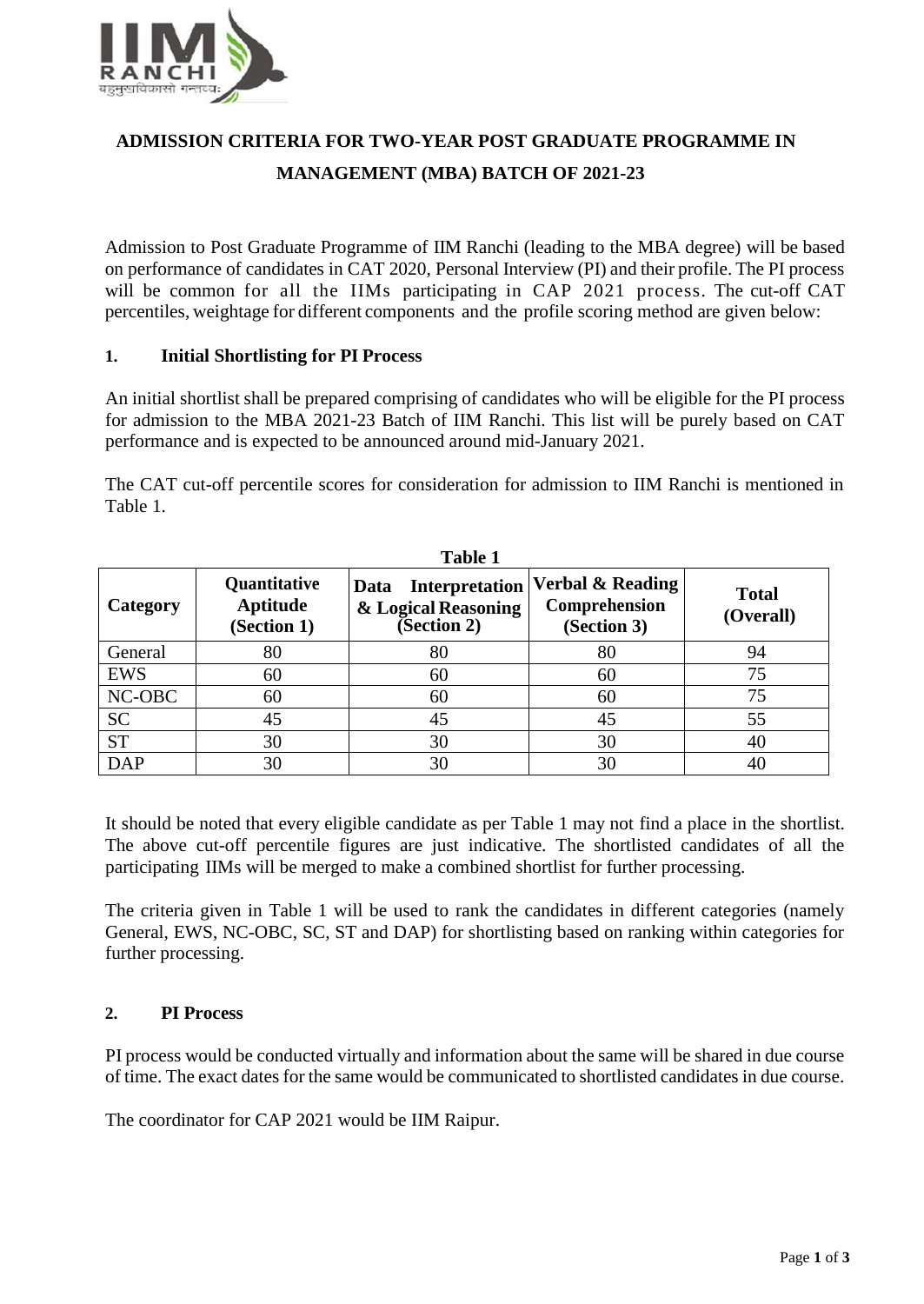

# **ADMISSION CRITERIA FOR TWO-YEAR POST GRADUATE PROGRAMME IN MANAGEMENT (MBA) BATCH OF 2021-23**

Admission to Post Graduate Programme of IIM Ranchi (leading to the MBA degree) will be based on performance of candidates in CAT 2020, Personal Interview (PI) and their profile. The PI process will be common for all the IIMs participating in CAP 2021 process. The cut-off CAT percentiles, weightage for different components and the profile scoring method are given below:

## **1. Initial Shortlisting for PI Process**

An initial shortlist shall be prepared comprising of candidates who will be eligible for the PI process for admission to the MBA 2021-23 Batch of IIM Ranchi. This list will be purely based on CAT performance and is expected to be announced around mid-January 2021.

The CAT cut-off percentile scores for consideration for admission to IIM Ranchi is mentioned in Table 1.

| <b>Table 1</b>  |                                         |                                                                    |                                                  |                           |  |
|-----------------|-----------------------------------------|--------------------------------------------------------------------|--------------------------------------------------|---------------------------|--|
| <b>Category</b> | Quantitative<br>Aptitude<br>(Section 1) | <b>Interpretation</b><br>Data<br>& Logical Reasoning<br>Section 2) | Verbal & Reading<br>Comprehension<br>(Section 3) | <b>Total</b><br>(Overall) |  |
| General         | 80                                      | 80                                                                 | 80                                               | 94                        |  |
| EWS             | 60                                      | 60                                                                 | 60                                               | 75                        |  |
| NC-OBC          | 60                                      | 60                                                                 | 60                                               | 75                        |  |
| <b>SC</b>       | 45                                      | 45                                                                 | 45                                               | 55                        |  |
| <b>ST</b>       | 30                                      | 30                                                                 | 30                                               | 40                        |  |
| <b>DAP</b>      | 30                                      | 30                                                                 | 30                                               | 40                        |  |

It should be noted that every eligible candidate as per Table 1 may not find a place in the shortlist. The above cut-off percentile figures are just indicative. The shortlisted candidates of all the participating IIMs will be merged to make a combined shortlist for further processing.

The criteria given in Table 1 will be used to rank the candidates in different categories (namely General, EWS, NC-OBC, SC, ST and DAP) for shortlisting based on ranking within categories for further processing.

# **2. PI Process**

PI process would be conducted virtually and information about the same will be shared in due course of time. The exact dates for the same would be communicated to shortlisted candidates in due course.

The coordinator for CAP 2021 would be IIM Raipur.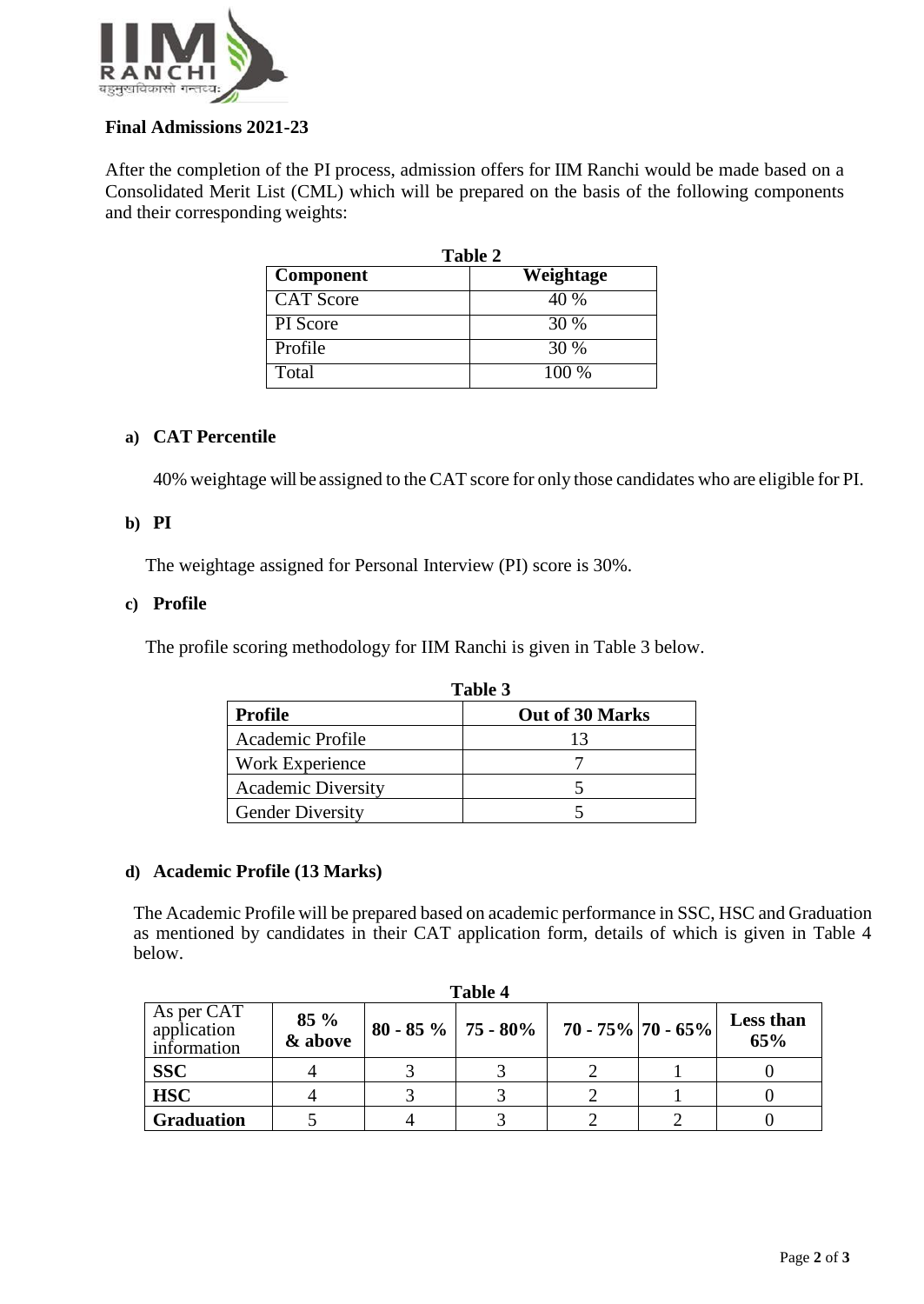

# **Final Admissions 2021-23**

After the completion of the PI process, admission offers for IIM Ranchi would be made based on a Consolidated Merit List (CML) which will be prepared on the basis of the following components and their corresponding weights:

| Table 2          |           |  |  |
|------------------|-----------|--|--|
| <b>Component</b> | Weightage |  |  |
| <b>CAT</b> Score | 40 %      |  |  |
| PI Score         | 30 %      |  |  |
| Profile          | 30 %      |  |  |
| Total            | $100\%$   |  |  |

# **a) CAT Percentile**

40% weightage will be assigned to the CAT score for only those candidates who are eligible for PI.

## **b) PI**

The weightage assigned for Personal Interview (PI) score is 30%.

#### **c) Profile**

The profile scoring methodology for IIM Ranchi is given in Table 3 below.

| Table 3                   |                 |  |
|---------------------------|-----------------|--|
| <b>Profile</b>            | Out of 30 Marks |  |
| Academic Profile          | 13              |  |
| Work Experience           |                 |  |
| <b>Academic Diversity</b> |                 |  |
| <b>Gender Diversity</b>   |                 |  |

#### **d) Academic Profile (13 Marks)**

The Academic Profile will be prepared based on academic performance in SSC, HSC and Graduation as mentioned by candidates in their CAT application form, details of which is given in Table 4 below.

| <b>Table 4</b>                           |                   |  |                                            |  |  |                         |
|------------------------------------------|-------------------|--|--------------------------------------------|--|--|-------------------------|
| As per CAT<br>application<br>information | $85\%$<br>& above |  | 80 - 85 %   75 - 80%   70 - 75%   70 - 65% |  |  | <b>Less than</b><br>65% |
| <b>SSC</b>                               |                   |  |                                            |  |  |                         |
| <b>HSC</b>                               |                   |  |                                            |  |  |                         |
| <b>Graduation</b>                        |                   |  |                                            |  |  |                         |